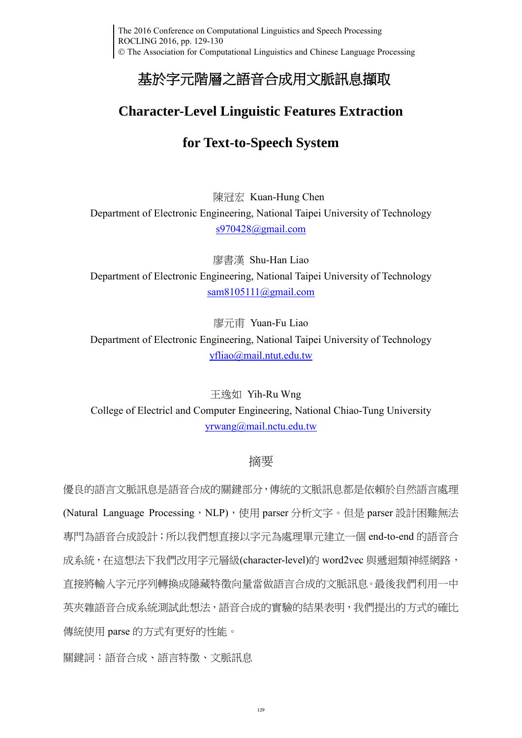# 基於字元階層之語音合成用文脈訊息擷取

## **Character-Level Linguistic Features Extraction**

### **for Text-to-Speech System**

陳冠宏 Kuan-Hung Chen

Department of Electronic Engineering, National Taipei University of Technology [s970428@gmail.com](mailto:s970428@gmail.com)

廖書漢 Shu-Han Liao Department of Electronic Engineering, National Taipei University of Technology [sam8105111@gmail.com](mailto:sam8105111@gmail.com)

廖元甫 Yuan-Fu Liao Department of Electronic Engineering, National Taipei University of Technology [yfliao@mail.ntut.edu.tw](mailto:yfliao@mail.ntut.edu.tw)

王逸如 Yih-Ru Wng College of Electricl and Computer Engineering, National Chiao-Tung University [yrwang@mail.nctu.edu.tw](mailto:yrwang@mail.nctu.edu.tw)

#### 摘要

優良的語言文脈訊息是語音合成的關鍵部分,傳統的文脈訊息都是依賴於自然語言處理 (Natural Language Processing, NLP), 使用 parser 分析文字。但是 parser 設計困難無法 專門為語音合成設計;所以我們想直接以字元為處理單元建立一個 end-to-end 的語音合 成系統,在這想法下我們改用字元層級(character-level)的 word2vec 與遞迴類神經網路, 直接將輸入字元序列轉換成隱藏特徵向量當做語言合成的文脈訊息。最後我們利用一中 英夾雜語音合成系統測試此想法,語音合成的實驗的結果表明,我們提出的方式的確比 傳統使用 parse 的方式有更好的性能。

關鍵詞:語音合成、語言特徵、文脈訊息

129